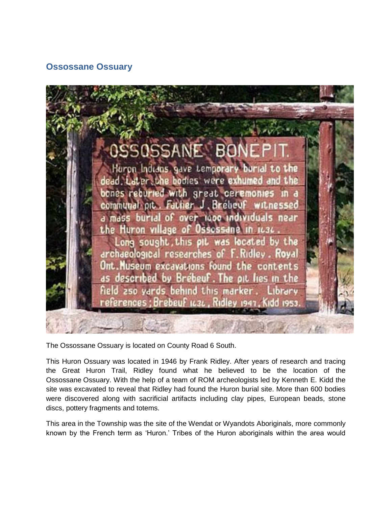## **Ossossane Ossuary**



The Ossossane Ossuary is located on County Road 6 South.

This Huron Ossuary was located in 1946 by Frank Ridley. After years of research and tracing the Great Huron Trail, Ridley found what he believed to be the location of the Ossossane Ossuary. With the help of a team of ROM archeologists led by Kenneth E. Kidd the site was excavated to reveal that Ridley had found the Huron burial site. More than 600 bodies were discovered along with sacrificial artifacts including clay pipes, European beads, stone discs, pottery fragments and totems.

This area in the Township was the site of the Wendat or Wyandots Aboriginals, more commonly known by the French term as 'Huron.' Tribes of the Huron aboriginals within the area would